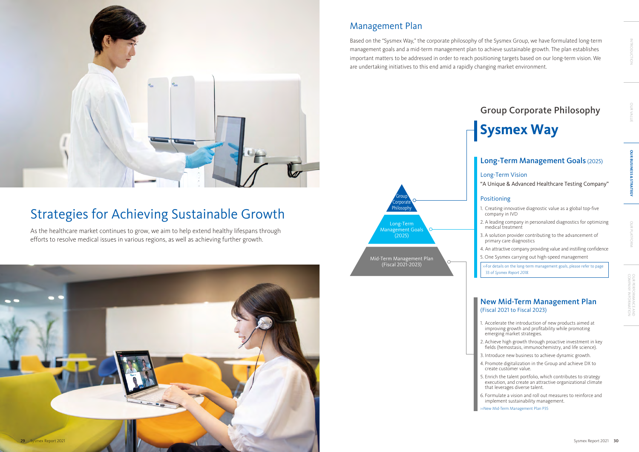#### New Mid-Term Management Plan (Fiscal 2021 to Fiscal 2023)

- 1. Accelerate the introduction of new products aimed at improving growth and profitability while promoting emerging market strategies.
- 2. Achieve high growth through proactive investment in key fields (hemostasis, immunochemistry, and life science).
- 3. Introduce new business to achieve dynamic growth.
- 4. Promote digitalization in the Group and achieve DX to create customer value.
- 5. Enrich the talent portfolio, which contributes to strategy execution, and create an attractive organizational climate that leverages diverse talent.
- 6. Formulate a vision and roll out measures to reinforce and implement sustainability management.

>>New Mid-Term Management Plan P35

»For details on the long-term management goals, please refer to page 33 of *Sysmex Report 2018*.

### Long-Term Management Goals (2025)

#### Long-Term Vision

"A Unique & Advanced Healthcare Testing Company"

#### Positioning

- 1. Creating innovative diagnostic value as a global top-five company in IVD
- 2. A leading company in personalized diagnostics for optimizing medical treatment
- 3. A solution provider contributing to the advancement of primary care diagnostics
- 4. An attractive company providing value and instilling confidence
- 5. One Sysmex carrying out high-speed management

# Group Corporate Philosophy

# **Sysmex Way**



Based on the "Sysmex Way," the corporate philosophy of the Sysmex Group, we have formulated long-term management goals and a mid-term management plan to achieve sustainable growth. The plan establishes important matters to be addressed in order to reach positioning targets based on our long-term vision. We are undertaking initiatives to this end amid a rapidly changing market environment.

# Management Plan



# Strategies for Achieving Sustainable Growth

As the healthcare market continues to grow, we aim to help extend healthy lifespans through efforts to resolve medical issues in various regions, as well as achieving further growth.



OUR VALUE INTRODUCTION

OUR PLATFORM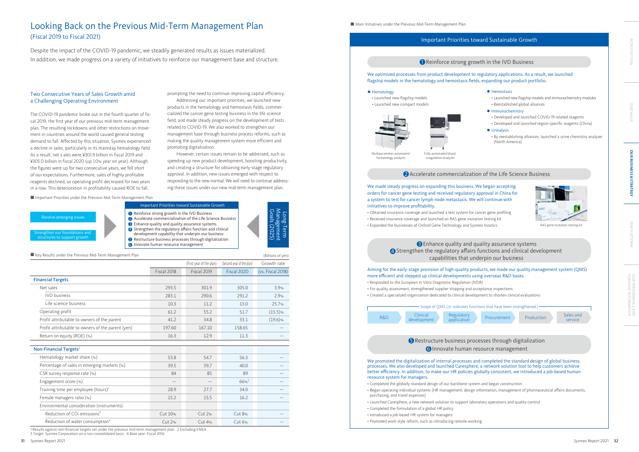#### Important Priorities toward Sustainable Growth

#### **O** Reinforce strong growth in the IVD Business

|                                                     |               | (First year of the plan) | (Second year of the plan) | Growth rate       |
|-----------------------------------------------------|---------------|--------------------------|---------------------------|-------------------|
|                                                     | Fiscal 2018   | Fiscal 2019              | Fiscal 2020               | (vs. Fiscal 2018) |
| <b>Financial Targets</b>                            |               |                          |                           |                   |
| Net sales                                           | 293.5         | 301.9                    | 305.0                     | 3.9%              |
| <b>IVD</b> business                                 | 283.1         | 290.6                    | 291.2                     | 2.9%              |
| Life science business                               | 10.3          | 11.2                     | 13.0                      | 25.7%             |
| Operating profit                                    | 61.2          | 55.2                     | 51.7                      | $(15.5)$ %        |
| Profit attributable to owners of the parent         | 41.2          | 34.8                     | 33.1                      | $(19.6)\%$        |
| Profit attributable to owners of the parent (yen)   | 197.60        | 167.10                   | 158.65                    |                   |
| Return on equity (ROE) (%)                          | 16.3          | 12.9                     | 11.3                      |                   |
|                                                     |               |                          |                           |                   |
| Non-Financial Targets <sup>1</sup>                  |               |                          |                           |                   |
| Hematology market share (%)                         | 53.8          | 54.7                     | 56.3                      |                   |
| Percentage of sales in emerging markets (%)         | 39.5          | 39.7                     | 40.0                      |                   |
| CSR survey response rate (%)                        | 84            | 85                       | 89                        |                   |
| Engagement score (%)                                |               |                          | $66%^{2}$                 |                   |
| Training time per employee (hours) <sup>3</sup>     | 28.9          | 27.7                     | 34.0                      |                   |
| Female managers ratio (%)                           | 15.2          | 15.5                     | 16.2                      |                   |
| Environmental consideration (instruments)           |               |                          |                           |                   |
| Reduction of CO <sub>2</sub> emissions <sup>4</sup> | Cut 10%       | Cut 2%                   | Cut 8%                    |                   |
| Reduction of water consumption <sup>4</sup>         | <b>Cut 2%</b> | Cut 4%                   | Cut 6%                    |                   |
|                                                     |               |                          |                           |                   |

(Billions of yen)

 $\blacksquare$  Key Results under the Previous Mid-Term Management Plan

- $\bullet$  Hemostasis
- Launched new flagship models and immunochemistry modules • Reestablished global alliances
- $\bullet$  Immunochemistry
- Developed and launched COVID-19-related reagents
- Developed and launched region-specific reagents (China)
- $\bullet$  Urinalysis
- By reestablishing alliances, launched a urine chemistry analyzer (North America)



#### Aiming for the early-stage provision of high-quality products, we made our quality management system (QMS) more efficient and stepped up clinical developments using overseas R&D bases. • Responded to the European In Vitro Diagnostic Regulation (IVDR) • For quality assessment, strengthened supplier shipping and acceptance inspections • Created a specialized organization dedicated to clinical development to shorten clinical evaluations Innovate human resource management  $\Box$ **4** Strengthen the regulatory affairs functions and clinical development

• Launched new flagship models • Launched new compact models



• Obtained insurance coverage and launched a test system for cancer gene profiling • Received insurance coverage and launched an RAS gene mutation testing kit • Expanded the businesses of Oxford Gene Technology and Sysmex Inostics RAS gene mutation testing kit

We optimized processes from product development to regulatory applications. As a result, we launched flagship models in the hematology and hemostasis fields, expanding our product portfolio.

#### **e** Hematology

Resolve emerging issues Strengthen our foundations and structures to support growth

#### We promoted the digitalization of internal processes and completed the standard design of global business processes. We also developed and launched Caresphere, a network solution tool to help customers achieve better efficiency. In addition, to make our HR policies globally consistent, we introduced a job-based human resource system for managers.

- Completed the globally standard design of our backbone system and began construction • Began operating individual systems (HR management, design information, management of pharmaceutical affairs documents,
- purchasing, and travel expenses) • Launched Caresphere, a new network solution to support laboratory operations and quality control
- Completed the formulation of a global HR policy
- Introduced a job-based HR system for managers
- Promoted work style reform, such as introducing remote working

We made steady progress on expanding this business. We began accepting orders for cancer gene testing and received regulatory approval in China for a system to test for cancer lymph node metastasis. We will continue with initiatives to improve profitability.

OUR PERFORMANCE AND<br>COMPANY INFORMATION COMPANY INFORMATION<br>COMPANY INFORMATION

Multiparameter automated hematology analyzer

coagulation analyze

#### 2 Accelerate commercialization of the Life Science Business



#### **S** Restructure business processes through digitalization **6** Innovate human resource management





#### Important Priorities toward Sustainable Growth

**6** Innovate human resource management

**Reinforce strong growth in the IVD Business** 

- 2 Accelerate commercialization of the Life Science Business
- **B** Enhance quality and quality assurance systems
- 4 Strengthen the regulatory affairs function and clinical development capability that underpin our business
- **B** Restructure business processes through digitalization



# capabilities that underpin our business

1 Results against non-financial targets set under the previous mid-term management plan 2 Excluding EMEA 3 Target: Sysmex Corporation on a non-consolidated basis 4 Base year: Fiscal 2016

#### ■ Main Initiatives under the Previous Mid-Term Management Plan

#### Two Consecutive Years of Sales Growth amid a Challenging Operating Environment

The COVID-19 pandemic broke out in the fourth quarter of fiscal 2019, the first year of our previous mid-term management plan. The resulting lockdowns and other restrictions on movement in countries around the world caused general testing demand to fall. Affected by this situation, Sysmex experienced a decline in sales, particularly in its mainstay hematology field. As a result, net s ales were ¥301.9 billion in fiscal 2019 and ¥305.0 billion in fiscal 2020 (up 1.0% year on year). Although the figures were up for two consecutive years, we fell short of our expectations. Furthermore, sales of highly profitable reagents declined, so operating profit decreased for two years in a row. This deterioration in profitability caused ROE to fall,

■ Important Priorities under the Previous Mid-Term Management Plan

prompting the need to continue improving capital efficiency.

Addressing our important priorities, we launched new products in the hematology and hemostasis fields, commercialized the cancer gene testing business in the life science field, and made steady progress on the development of tests related to COVID-19. We also worked to strengthen our management base through business process reforms, such as making the quality management system more efficient and promoting digitalization.

However, certain issues remain to be addressed, such as speeding up new product development, boosting productivity, and creating a structure for obtaining early-stage regulatory approval. In addition, new issues emerged with respect to responding to the new normal. We will need to continue addressing these issues under our new mid-term management plan.

Despite the impact of the COVID-19 pandemic, we steadily generated results as issues materialized. In addition, we made progress on a variety of initiatives to reinforce our management base and structure.

# Looking Back on the Previous Mid-Term Management Plan (Fiscal 2019 to Fiscal 2021)

OUR VALUE INTRODUCTION

OUR **SVALUE**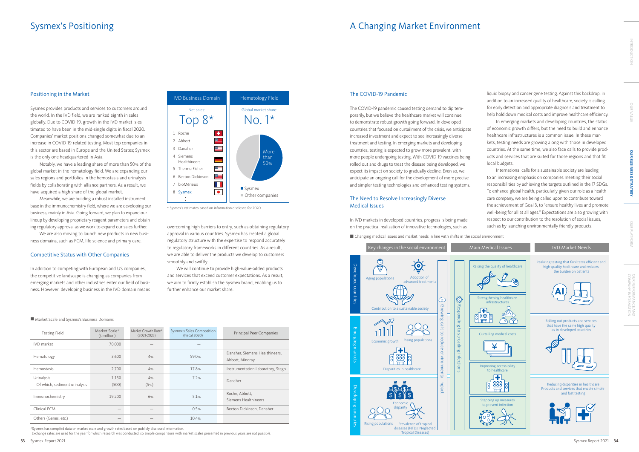| <b>Testing Field</b>                        | Market Scale*<br>$(s$ million) | Market Growth Rate*<br>$(2021 - 2023)$ | Sysmex's Sales Composition<br>(Fiscal 2020) | Principal Peer Companies                          |
|---------------------------------------------|--------------------------------|----------------------------------------|---------------------------------------------|---------------------------------------------------|
| <b>IVD</b> market                           | 70,000                         |                                        |                                             |                                                   |
| Hematology                                  | 3,600                          | 4%                                     | 59.0%                                       | Danaher, Siemens Healthineers,<br>Abbott, Mindray |
| Hemostasis                                  | 2,700                          | 4%                                     | 17.8%                                       | Instrumentation Laboratory, Stago                 |
| Urinalysis<br>Of which, sediment urinalysis | 1,150<br>(500)                 | 4%<br>(5%)                             | 7.2%                                        | Danaher                                           |
| Immunochemistry                             | 19,200                         | 6%                                     | 5.1%                                        | Roche, Abbott,<br>Siemens Healthineers            |
| Clinical FCM                                |                                |                                        | 0.5%                                        | Becton Dickinson, Danaher                         |
| Others (Genes, etc.)                        |                                |                                        | 10.4%                                       |                                                   |

\*Sysmex has compiled data on market scale and growth rates based on publicly disclosed information.

Exchange rates are used for the year for which research was conducted, so simple comparisons with market scales presented in previous years are not possible.



\* Sysmex's estimates based on information disclosed for 2020



We are also moving to launch new products in new business domains, such as FCM, life science and primary care.

#### Positioning in the Market

Sysmex provides products and services to customers around the world. In the IVD field, we are ranked eighth in sales globally. Due to COVID-19, growth in the IVD market is estimated to have been in the mid-single digits in fiscal 2020. Companies' market positions changed somewhat due to an increase in COVID-19-related testing. Most top companies in this sector are based in Europe and the United States; Sysmex is the only one headquartered in Asia.

Notably, we have a leading share of more than 50% of the global market in the hematology field. We are expanding our sales regions and portfolios in the hemostasis and urinalysis fields by collaborating with alliance partners. As a result, we have acquired a high share of the global market.

Meanwhile, we are building a robust installed instrument base in the immunochemistry field, where we are developing our business, mainly in Asia. Going forward, we plan to expand our lineup by developing proprietary reagent parameters and obtaining regulatory approval as we work to expand our sales further.

#### Competitive Status with Other Companies

In addition to competing with European and US companies, the competitive landscape is changing as companies from emerging markets and other industries enter our field of business. However, developing business in the IVD domain means

#### The COVID-19 Pandemic

The COVID-19 pandemic caused testing demand to dip temporarily, but we believe the healthcare market will continue to demonstrate robust growth going forward. In developed countries that focused on curtailment of the crisis, we anticipate increased investment and expect to see increasingly diverse treatment and testing. In emerging markets and developing countries, testing is expected to grow more prevalent, with more people undergoing testing. With COVID-19 vaccines being rolled out and drugs to treat the disease being developed, we expect its impact on society to gradually decline. Even so, we anticipate an ongoing call for the development of more precise and simpler testing technologies and enhanced testing systems.

#### The Need to Resolve Increasingly Diverse Medical Issues

In IVD markets in developed countries, progress is being made

 $\blacksquare$  Changing medical issues and market needs in line with shifts in the social environment

overcoming high barriers to entry, such as obtaining regulatory on the practical realization of innovative technologies, such as approval in various countries. Sysmex has created a global regulatory structure with the expertise to respond accurately to regulatory frameworks in different countries. As a result, we are able to deliver the products we develop to customers smoothly and swiftly.

We will continue to provide high-value-added products and services that exceed customer expectations. As a result, we aim to firmly establish the Sysmex brand, enabling us to further enhance our market share.

#### ■ Market Scale and Sysmex's Business Domains

liquid biopsy and cancer gene testing. Against this backdrop, in addition to an increased quality of healthcare, society is calling for early detection and appropriate diagnosis and treatment to help hold down medical costs and improve healthcare efficiency.

In emerging markets and developing countries, the status of economic growth differs, but the need to build and enhance healthcare infrastructures is a common issue. In these markets, testing needs are growing along with those in developed countries. At the same time, we also face calls to provide products and services that are suited for those regions and that fit local budgets.

International calls for a sustainable society are leading to an increasing emphasis on companies meeting their social responsibilities by achieving the targets outlined in the 17 SDGs. To enhance global health, particularly given our role as a healthcare company, we are being called upon to contribute toward the achievement of Goal 3, to "ensure healthy lives and promote well-being for all at all ages." Expectations are also growing with respect to our contribution to the resolution of social issues, such as by launching environmentally friendly products.

COMPANY INFORMATION<br>COMPANY INFORMATION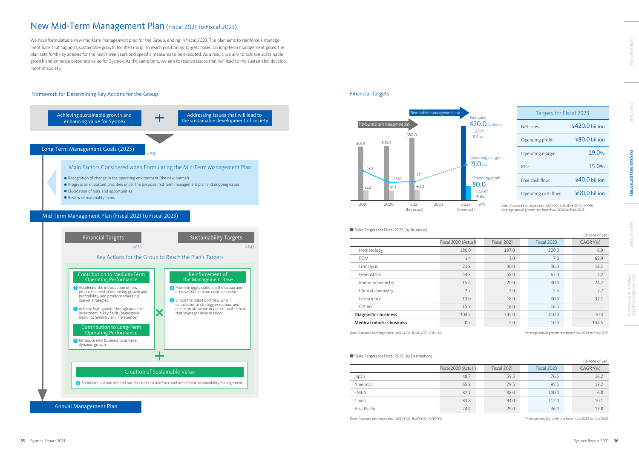



|              | Fiscal 2020 (Actual) | Fiscal 2021 | Fiscal 2023 | $CAGR*(\%)$ |
|--------------|----------------------|-------------|-------------|-------------|
| Japan        | 48.7                 | 59.5        | 76.5        | 16.2        |
| Americas     | 65.8                 | 79.5        | 95.5        | 13.2        |
| EMEA         | 82.1                 | 88.0        | 100.0       | 6.8         |
| China        | 83.8                 | 94.0        | 112.0       | 10.1        |
| Asia Pacific | 24.4                 | 29.0        | 36.0        | 13.8        |

|                                  |                      |             |             | (Billions of yen) |
|----------------------------------|----------------------|-------------|-------------|-------------------|
|                                  | Fiscal 2020 (Actual) | Fiscal 2021 | Fiscal 2023 | $CAGR*(\%)$       |
| Hematology                       | 180.0                | 197.0       | 220.0       | 6.9               |
| <b>FCM</b>                       | 1.4                  | 3.0         | 7.0         | 68.9              |
| Urinalysis                       | 21.8                 | 30.0        | 36.0        | 18.1              |
| Hemostasis                       | 54.3                 | 58.0        | 67.0        | 7.2               |
| Immunochemistry                  | 15.4                 | 20.0        | 30.0        | 24.7              |
| Clinical chemistry               | 2.7                  | 3.0         | 3.5         | 7.7               |
| Life science                     | 13.0                 | 18.0        | 30.0        | 32.1              |
| Others                           | 15.3                 | 16.0        | 16.5        |                   |
| Diagnostics business             | 304.2                | 345.0       | 410.0       | 10.4              |
| <b>Medical robotics business</b> | 0.7                  | 5.0         | 10.0        | 134.5             |

#### ■ Sales Targets for Fiscal 2023 (by Destination)

#### (Billions of yen)

Note: Assumed exchange rates: 1USD=¥106, 1EUR=¥125, 1CNY=¥16 \* Average annual growth rate from fiscal 2020 to fiscal 2023

| Targets for Fiscal 2023 |                 |
|-------------------------|-----------------|
| Net sales:              | ¥420.0 billion  |
| Operating profit:       | $480.0$ billion |
| Operating margin:       | 19.0%           |
| $ROF^1$                 | 15.0%           |
| Free cash flow:         | $40.0$ billion  |
| Operating cash flow:    | ¥90.0 billion   |



#### ■ Sales Targets for Fiscal 2023 (by Business)

Note: Assumed exchange rates: 1USD=¥106, 1EUR=¥125, 1CNY=¥16 \*Average annual growth rate from fiscal 2020 to fiscal 2023

Note: Assumed exchange rates: 1USD=¥106, 1EUR=¥125, 1CNY=¥16 \* Average annual growth rate from fiscal 2020 to fiscal 2023

We have formulated a new mid-term management plan for the Group, ending in fiscal 2023. The plan aims to reinforce a management base that supports sustainable growth for the Group. To reach positioning targets based on long-term management goals, the plan sets forth key actions for the next three years and specific measures to be executed. As a result, we aim to achieve sustainable growth and enhance corporate value for Sysmex. At the same time, we aim to resolve issues that will lead to the sustainable development of society.

#### Framework for Determining Key Actions for the Group **Financial Targets** Financial Targets

# New Mid-Term Management Plan (Fiscal 2021 to Fiscal 2023)

| ł |   |
|---|---|
|   |   |
|   |   |
|   |   |
|   | ı |
|   | ١ |
| ŝ |   |
|   |   |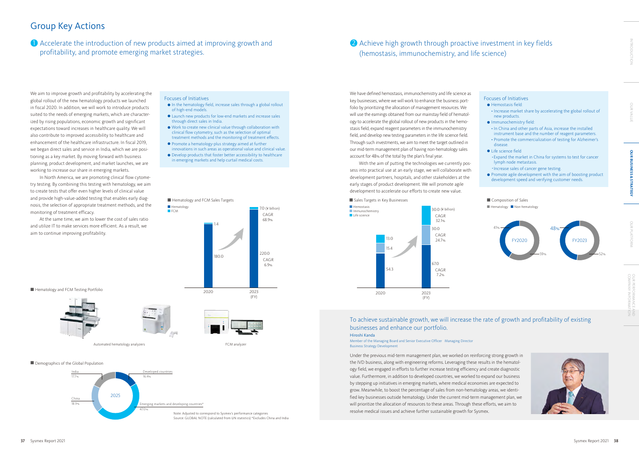# Group Key Actions

**1** Accelerate the introduction of new products aimed at improving growth and  $\overline{a}$ profitability, and promote emerging market strategies.

# 2 Achieve high growth through proactive investment in key fields (hemostasis, immunochemistry, and life science)

#### Focuses of Initiatives

- l In the hematology field, increase sales through a global rollout of high-end models.
- l Launch new products for low-end markets and increase sales through direct sales in India.
- l Work to create new clinical value through collaboration with clinical flow cytometry, such as the selection of optimal treatment methods and the monitoring of treatment effects.
- l Promote a hematology-plus strategy aimed at further innovations in such areas as operational value and clinical value.
- $\bullet$  Develop products that foster better accessibility to healthcare in emerging markets and help curtail medical costs.
- **e** Hemostasis field:
- Increase market share by accelerating the global rollout of new products.
- **Immunochemistry field:**
- In China and other parts of Asia, increase the installed instrument base and the number of reagent parameters.
- Promote the commercialization of testing for Alzheimer's disease.
- **I** Life science field
- ・Expand the market in China for systems to test for cancer lymph node metastasis.
- ・Increase sales of cancer gene testing.
- Promote agile development with the aim of boosting product development speed and verifying customer needs.

■ Composition of Sales

 $\blacksquare$  Hematology  $\blacksquare$  Non-hematology

#### Focuses of Initiatives



■ Hematology and FCM Testing Portfolio





Automated hematology analyzers **FCM** analyzer



#### ■ Demographics of the Global Population









We aim to improve growth and profitability by accelerating the global rollout of the new hematology products we launched in fiscal 2020. In addition, we will work to introduce products suited to the needs of emerging markets, which are characterized by rising populations, economic growth and significant expectations toward increases in healthcare quality. We will also contribute to improved accessibility to healthcare and enhancement of the healthcare infrastructure. In fiscal 2019, we began direct sales and service in India, which we are positioning as a key market. By moving forward with business planning, product development, and market launches, we are working to increase our share in emerging markets.

In North America, we are promoting clinical flow cytometry testing. By combining this testing with hematology, we aim to create tests that offer even higher levels of clinical value and provide high-value-added testing that enables early diagnosis, the selection of appropriate treatment methods, and the monitoring of treatment efficacy.

At the same time, we aim to lower the cost of sales ratio and utilize IT to make services more efficient. As a result, we aim to continue improving profitability.

We have defined hemostasis, immunochemistry and life science as key businesses, where we will work to enhance the business portfolio by prioritizing the allocation of management resources. We will use the earnings obtained from our mainstay field of hematology to accelerate the global rollout of new products in the hemostasis field, expand reagent parameters in the immunochemistry field, and develop new testing parameters in the life science field. Through such investments, we aim to meet the target outlined in our mid-term management plan of having non-hematology sales account for 48% of the total by the plan's final year.

With the aim of putting the technologies we currently possess into practical use at an early stage, we will collaborate with development partners, hospitals, and other stakeholders at the early stages of product development. We will promote agile development to accelerate our efforts to create new value.

Under the previous mid-term management plan, we worked on reinforcing strong growth in the IVD business, along with engineering reforms. Leveraging these results in the hematology field, we engaged in efforts to further increase testing efficiency and create diagnostic value. Furthermore, in addition to developed countries, we worked to expand our business by stepping up initiatives in emerging markets, where medical economies are expected to grow. Meanwhile, to boost the percentage of sales from non-hematology areas, we identified key businesses outside hematology. Under the current mid-term management plan, we will prioritize the allocation of resources to these areas. Through these efforts, we aim to resolve medical issues and achieve further sustainable growth for Sysmex.

#### To achieve sustainable growth, we will increase the rate of growth and profitability of existing businesses and enhance our portfolio. Hiroshi Kanda

Member of the Managing Board and Senior Executive Officer Managing Director Business Strategy Development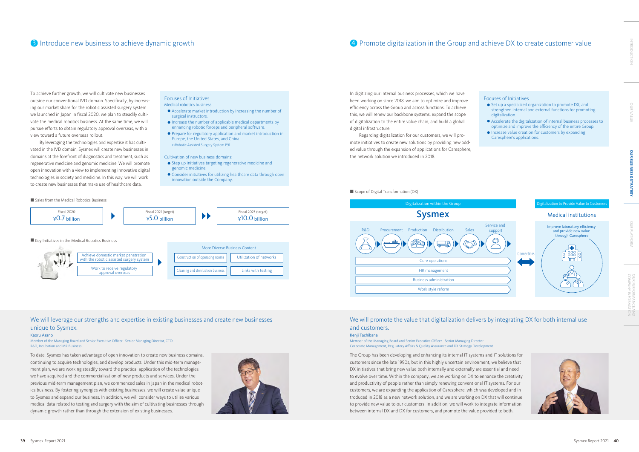# 4 Promote digitalization in the Group and achieve DX to create customer value





- $\bullet$  Step up initiatives targeting regenerative medicine and genomic medicine.
- l Consider initiatives for utilizing healthcare data through open innovation outside the Company.

■ Sales from the Medical Robotics Business

#### Focuses of Initiatives Medical robotics business:

- l Accelerate market introduction by increasing the number of surgical instructors.
- $\bullet$  Increase the number of applicable medical departments by enhancing robotic forceps and peripheral software.
- l Prepare for regulatory application and market introduction in Europe, the United States, and China. >>Robotic Assisted Surgery System P91

#### Cultivation of new business domains:





#### $\blacksquare$  Key Initiatives in the Medical Robotics Business

To achieve further growth, we will cultivate new businesses outside our conventional IVD domain. Specifically, by increasing our market share for the robotic assisted surgery system we launched in Japan in fiscal 2020, we plan to steadily cultivate the medical robotics business. At the same time, we will pursue efforts to obtain regulatory approval overseas, with a view toward a future overseas rollout.

#### We will promote the value that digitalization delivers by integrating DX for both internal use and customers.

By leveraging the technologies and expertise it has cultivated in the IVD domain, Sysmex will create new businesses in domains at the forefront of diagnostics and treatment, such as regenerative medicine and genomic medicine. We will promote open innovation with a view to implementing innovative digital technologies in society and medicine. In this way, we will work to create new businesses that make use of healthcare data.



In digitizing our internal business processes, which we have been working on since 2018, we aim to optimize and improve efficiency across the Group and across functions. To achieve this, we will renew our backbone systems, expand the scope of digitalization to the entire value chain, and build a global digital infrastructure.

Regarding digitalization for our customers, we will promote initiatives to create new solutions by providing new added value through the expansion of applications for Caresphere, the network solution we introduced in 2018.

#### $\blacksquare$  Scope of Digital Transformation (DX)

The Group has been developing and enhancing its internal IT systems and IT solutions for customers since the late 1990s, but in this highly uncertain environment, we believe that DX initiatives that bring new value both internally and externally are essential and need to evolve over time. Within the company, we are working on DX to enhance the creativity and productivity of people rather than simply renewing conventional IT systems. For our customers, we are expanding the application of Caresphere, which was developed and introduced in 2018 as a new network solution, and we are working on DX that will continue to provide new value to our customers. In addition, we will work to integrate information between internal DX and DX for customers, and promote the value provided to both.

To date, Sysmex has taken advantage of open innovation to create new business domains, continuing to acquire technologies, and develop products. Under this mid-term management plan, we are working steadily toward the practical application of the technologies we have acquired and the commercialization of new products and services. Under the previous mid-term management plan, we commenced sales in Japan in the medical robotics business. By fostering synergies with existing businesses, we will create value unique to Sysmex and expand our business. In addition, we will consider ways to utilize various medical data related to testing and surgery with the aim of cultivating businesses through dynamic growth rather than through the extension of existing businesses.



#### We will leverage our strengths and expertise in existing businesses and create new businesses unique to Sysmex.

#### Kenji Tachibana

Member of the Managing Board and Senior Executive Officer Senior Managing Director Corporate Management, Regulatory Affairs & Quality Assurance and DX Strategy Development

#### Kaoru Asano

#### Member of the Managing Board and Senior Executive Officer Senior Managing Director, CTO R&D, Incubation and MR Business

OUR VALUE INTRODUCTION

**NALUE** 

INTRODUCTION

**OUR BUSINESS & STRATEGY**

OUR BUSINESS & STRATEGY

# OUR PLATFORM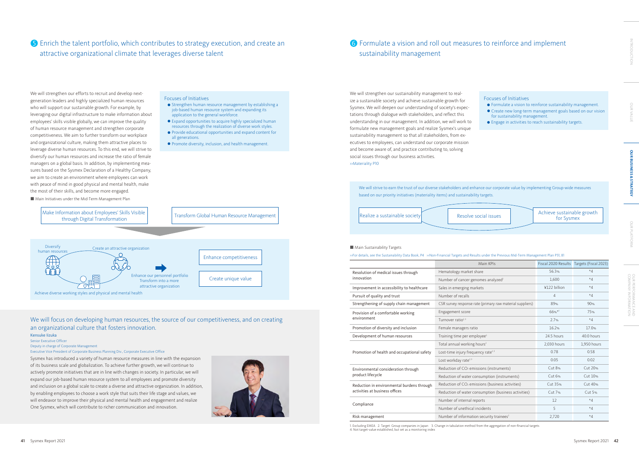## **5** Enrich the talent portfolio, which contributes to strategy execution, and create an **6** Formulate a vision and roll out measures to reinforce and implement attractive organizational climate that leverages diverse talent

# sustainability management 6 Formulate a vision and roll out measures to reinforce and implement

1. Excluding EMEA 2. Target: Group companies in Japan 3. Change in tabulation method from the aggregation of non-financial targets 4. Not target-value established, but set as a monitoring index

■ Main Initiatives under the Mid-Term Management Plan

|                                             | Main KPIs                                                    | Fiscal 2020 Results | Targets (Fiscal 2023) |
|---------------------------------------------|--------------------------------------------------------------|---------------------|-----------------------|
| Resolution of medical issues through        | Hematology market share                                      | 56.3%               | $*4$                  |
| innovation                                  | Number of cancer genomes analyzed <sup>2</sup>               | 1.600               | $*4$                  |
| Improvement in accessibility to healthcare  | Sales in emerging markets                                    | ¥122 billion        | $*4$                  |
| Pursuit of quality and trust                | Number of recalls                                            | $\overline{A}$      | $*4$                  |
| Strengthening of supply chain management    | CSR survey response rate (primary raw material suppliers)    | 89%                 | 90%                   |
| Provision of a comfortable working          | Engagement score                                             | $66%$ *1            | 75%                   |
| environment                                 | Turnover ratio <sup>2,3</sup>                                | 2.7%                | $*4$                  |
| Promotion of diversity and inclusion        | Female managers ratio                                        | 16.2%               | 17.0%                 |
| Development of human resources              | Training time per employee <sup>3</sup>                      | 24.5 hours          | 40.0 hours            |
| Promotion of health and occupational safety | Total annual working hours <sup>2</sup>                      | 2,030 hours         | 1,950 hours           |
|                                             | Lost-time injury frequency rate <sup>2,3</sup>               | 0.78                | 0.58                  |
|                                             | Lost workday rate <sup>2,3</sup>                             | 0.05                | 0.02                  |
| Environmental consideration through         | Reduction of CO <sub>2</sub> emissions (instruments)         | <b>Cut 8%</b>       | Cut 20%               |
| product lifecycle                           | Reduction of water consumption (instruments)                 | Cut 6%              | Cut 10%               |
| Reduction in environmental burdens through  | Reduction of CO <sub>2</sub> emissions (business activities) | Cut 35%             | Cut 40%               |
| activities at business offices              | Reduction of water consumption (business activities)         | Cut 7%              | Cut 5%                |
| Compliance                                  | Number of internal reports                                   | 12                  | $*4$                  |
|                                             | Number of unethical incidents                                | 5                   | $*4$                  |
| Risk management                             | Number of information security trainees <sup>2</sup>         | 2,720               | $*4$                  |

#### Focuses of Initiatives

- **•** Strengthen human resource management by establishing a job-based human resource system and expanding its application to the general workforce.
- l Expand opportunities to acquire highly specialized human resources through the realization of diverse work styles.
- l Provide educational opportunities and expand content for all generations.
- **•** Promote diversity, inclusion, and health management.

#### Focuses of Initiatives

- l Formulate a vision to reinforce sustainability management.
- l Create new long-term management goals based on our vision for sustainability management.
- l Engage in activities to reach sustainability targets.



#### ■ Main Sustainability Targets

| >>For details, see the Sustainability Data Book, P4 >>Non-Financial Targets and Results |  |  |  |
|-----------------------------------------------------------------------------------------|--|--|--|
|-----------------------------------------------------------------------------------------|--|--|--|



| ial issues | Achieve sustainable growth<br>for Sysmex |
|------------|------------------------------------------|
|            |                                          |

#### under the Previous Mid-Term Management Plan P31, 81

We will strengthen our efforts to recruit and develop nextgeneration leaders and highly specialized human resources who will support our sustainable growth. For example, by leveraging our digital infrastructure to make information about employees' skills visible globally, we can improve the quality of human resource management and strengthen corporate competitiveness. We aim to further transform our workplace and organizational culture, making them attractive places to leverage diverse human resources. To this end, we will strive to diversify our human resources and increase the ratio of female managers on a global basis. In addition, by implementing measures based on the Sysmex Declaration of a Healthy Company, we aim to create an environment where employees can work with peace of mind in good physical and mental health, make the most of their skills, and become more engaged.

We will strengthen our sustainability management to realize a sustainable society and achieve sustainable growth for Sysmex. We will deepen our understanding of society's expectations through dialogue with stakeholders, and reflect this understanding in our management. In addition, we will work to formulate new management goals and realize Sysmex's unique sustainability management so that all stakeholders, from executives to employees, can understand our corporate mission and become aware of, and practice contributing to, solving social issues through our business activities. >>Materiality P10

Sysmex has introduced a variety of human resource measures in line with the expansion of its business scale and globalization. To achieve further growth, we will continue to actively promote initiatives that are in line with changes in society. In particular, we will expand our job-based human resource system to all employees and promote diversity and inclusion on a global scale to create a diverse and attractive organization. In addition, by enabling employees to choose a work style that suits their life stage and values, we will endeavor to improve their physical and mental health and engagement and realize One Sysmex, which will contribute to richer communication and innovation.



#### We will focus on developing human resources, the source of our competitiveness, and on creating an organizational culture that fosters innovation.

#### Kensuke Iizuka

Senior Executive Officer

#### Deputy in charge of Corporate Management

#### Executive Vice President of Corporate Business Planning Div., Corporate Executive Office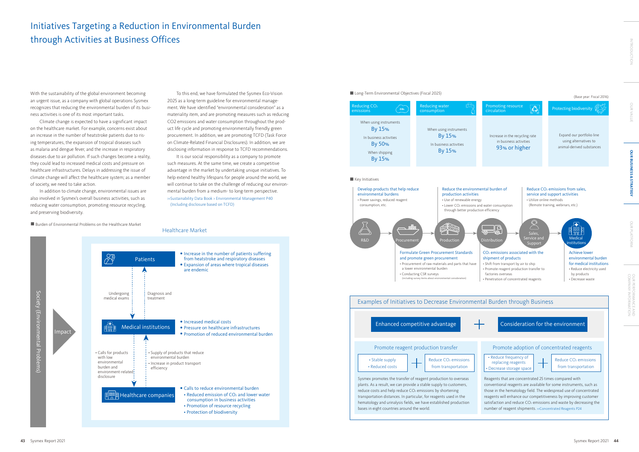#### (Base year: Fiscal 2016)



It is our social responsibility as a company to promote such measures. At the same time, we create a competitive advantage in the market by undertaking unique initiatives. To help extend healthy lifespans for people around the world, we will continue to take on the challenge of reducing our environmental burden from a medium- to long-term perspective. >>Sustainability Data Book > Environmental Management P40 (Including disclosure based on TCFD)

■ Burden of Environmental Problems on the Healthcare Market



■ Long-Term Environmental Objectives (Fiscal 2025)

With the sustainability of the global environment becoming an urgent issue, as a company with global operations Sysmex recognizes that reducing the environmental burden of its business activities is one of its most important tasks.

Climate change is expected to have a significant impact on the healthcare market. For example, concerns exist about an increase in the number of heatstroke patients due to rising temperatures, the expansion of tropical diseases such as malaria and dengue fever, and the increase in respiratory diseases due to air pollution. If such changes become a reality, they could lead to increased medical costs and pressure on healthcare infrastructures. Delays in addressing the issue of climate change will affect the healthcare system; as a member of society, we need to take action.

In addition to climate change, environmental issues are also involved in Sysmex's overall business activities, such as reducing water consumption, promoting resource recycling, and preserving biodiversity.

To this end, we have formulated the Sysmex Eco-Vision 2025 as a long-term guideline for environmental management. We have identified "environmental consideration" as a materiality item, and are promoting measures such as reducing CO2 emissions and water consumption throughout the product life cycle and promoting environmentally friendly green procurement. In addition, we are promoting TCFD (Task Force on Climate-Related Financial Disclosures). In addition, we are disclosing information in response to TCFD recommendations.

# Initiatives Targeting a Reduction in Environmental Burden through Activities at Business Offices

COMPANY INFORMATION<br>COMPANY INFORMATION

OUR PERFORMANCE AND<br>COMPANY INFORMATION